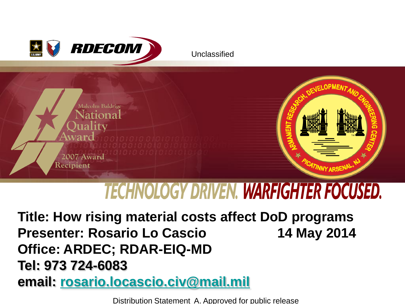



# **TECHNOLOGY DRIVEN. WARFIGHTER FOCUSED.**

**Title: How rising material costs affect DoD programs Presenter: Rosario Lo Cascio 14 May 2014 Office: ARDEC; RDAR-EIQ-MD Tel: 973 724-6083 email: [rosario.locascio.civ@mail.mil](mailto:rosario.locascio.civ@mail.mil)**

Distribution Statement A. Approved for public release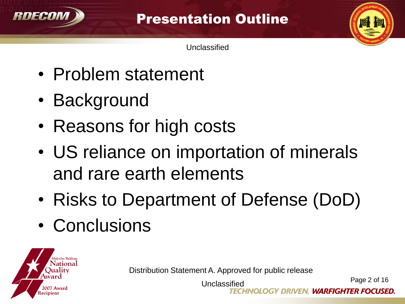

Presentation Outline

Unclassified

- Problem statement
- Background
- Reasons for high costs
- US reliance on importation of minerals and rare earth elements
- Risks to Department of Defense (DoD)
- Conclusions



Distribution Statement A. Approved for public release

Page 2 of 16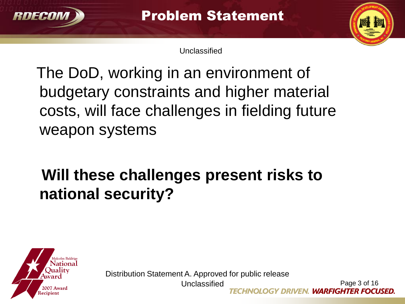

Problem Statement

Unclassified

 The DoD, working in an environment of budgetary constraints and higher material costs, will face challenges in fielding future weapon systems

## **Will these challenges present risks to national security?**



Distribution Statement A. Approved for public release

Unclassified

Page 3 of 16 OGY DRIVEN. WARFIGHTER FOCUSED.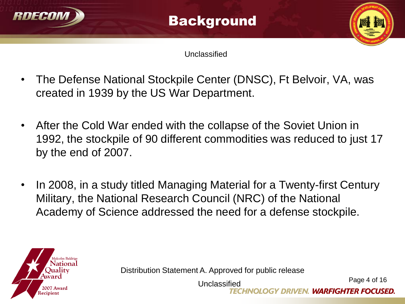

- The Defense National Stockpile Center (DNSC), Ft Belvoir, VA, was created in 1939 by the US War Department.
- After the Cold War ended with the collapse of the Soviet Union in 1992, the stockpile of 90 different commodities was reduced to just 17 by the end of 2007.
- In 2008, in a study titled Managing Material for a Twenty-first Century Military, the National Research Council (NRC) of the National Academy of Science addressed the need for a defense stockpile.



Distribution Statement A. Approved for public release

Page 4 of 16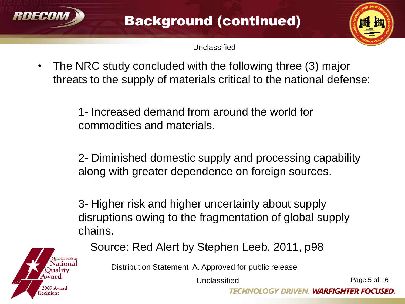



• The NRC study concluded with the following three (3) major threats to the supply of materials critical to the national defense:

> 1- Increased demand from around the world for commodities and materials.

2- Diminished domestic supply and processing capability along with greater dependence on foreign sources.

3- Higher risk and higher uncertainty about supply disruptions owing to the fragmentation of global supply chains.

eciniet

Source: Red Alert by Stephen Leeb, 2011, p98

Distribution Statement A. Approved for public release

Unclassified

Page 5 of 16

GY DRIVEN. WARFIGHTER FOCUSED.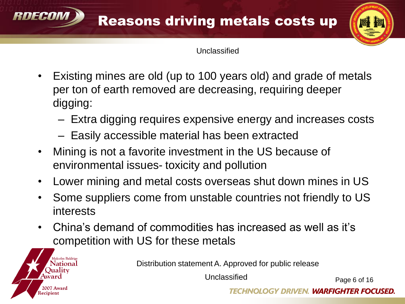

- Existing mines are old (up to 100 years old) and grade of metals per ton of earth removed are decreasing, requiring deeper digging:
	- Extra digging requires expensive energy and increases costs
	- Easily accessible material has been extracted

RNFCAM

**lecipien** 

- Mining is not a favorite investment in the US because of environmental issues- toxicity and pollution
- Lower mining and metal costs overseas shut down mines in US
- Some suppliers come from unstable countries not friendly to US interests
- China's demand of commodities has increased as well as it's competition with US for these metals

Distribution statement A. Approved for public release

Unclassified

Page 6 of 16

**GY DRIVEN. WARFIGHTER FOCUSED.**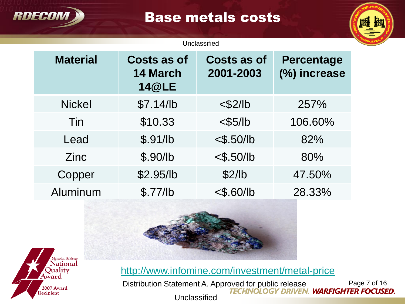

### Base metals costs

#### Unclassified

| <b>Material</b> | <b>Costs as of</b><br><b>14 March</b><br><b>14@LE</b> | <b>Costs as of</b><br>2001-2003 | <b>Percentage</b><br>(%) increase |
|-----------------|-------------------------------------------------------|---------------------------------|-----------------------------------|
| <b>Nickel</b>   | \$7.14/lb                                             | $<$ \$2/lb                      | 257%                              |
| Tin             | \$10.33                                               | $<$ \$5/lb                      | 106.60%                           |
| Lead            | \$.91/lb                                              | $<$ \$.50/lb                    | 82%                               |
| Zinc            | \$.90/lb                                              | $<$ \$.50/lb                    | 80%                               |
| Copper          | \$2.95/lb                                             | \$2/lb                          | 47.50%                            |
| Aluminum        | \$.77/lb                                              | $<$ \$.60/lb                    | 28.33%                            |





<http://www.infomine.com/investment/metal-price>

Distribution Statement A. Approved for public release Page 7 of 16 **Unclassified**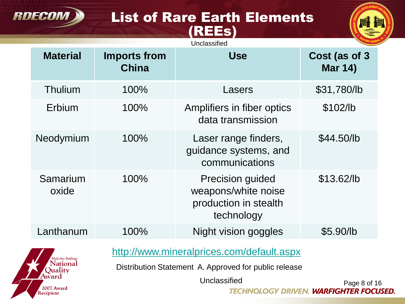#### List of Rare Earth Elements (REEs)

**RDECOM** 



|                                     |                                     | Unclassified                                                                                                       |                                            |
|-------------------------------------|-------------------------------------|--------------------------------------------------------------------------------------------------------------------|--------------------------------------------|
| <b>Material</b>                     | <b>Imports from</b><br><b>China</b> | <b>Use</b>                                                                                                         | Cost (as of 3<br><b>Mar 14)</b>            |
| Thulium                             | 100%                                | Lasers                                                                                                             | \$31,780/lb                                |
| Erbium                              | 100%                                | Amplifiers in fiber optics<br>data transmission                                                                    | \$102/b                                    |
| Neodymium                           | 100%                                | Laser range finders,<br>quidance systems, and<br>communications                                                    | \$44.50/lb                                 |
| Samarium<br>oxide                   | 100%                                | <b>Precision guided</b><br>weapons/white noise<br>production in stealth<br>technology                              | \$13.62/lb                                 |
| Lanthanum                           | 100%                                | <b>Night vision goggles</b>                                                                                        | \$5.90/lb                                  |
| Malcolm Baldrige<br><b>National</b> |                                     | http://www.mineralprices.com/default.aspx<br>Distribution Statement A. Approved for public release<br>Unclassified |                                            |
| 2007 Award<br>ecipient              |                                     | TECHNOLOGY DRIVEN                                                                                                  | Page 8 of 16<br><b>WARFIGHTER FOCUSED.</b> |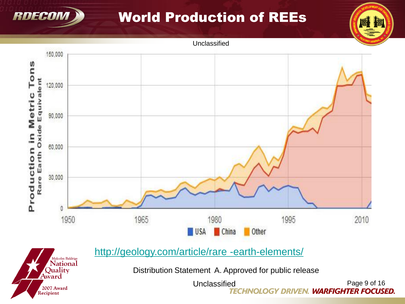

2007 Award Recipient

### World Production of REEs



Distribution Statement A. Approved for public release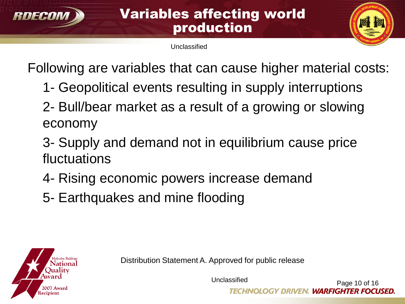

#### Variables affecting world production

Unclassified



Following are variables that can cause higher material costs:

- 1- Geopolitical events resulting in supply interruptions
- 2- Bull/bear market as a result of a growing or slowing economy
- 3- Supply and demand not in equilibrium cause price fluctuations
- 4- Rising economic powers increase demand
- 5- Earthquakes and mine flooding



Distribution Statement A. Approved for public release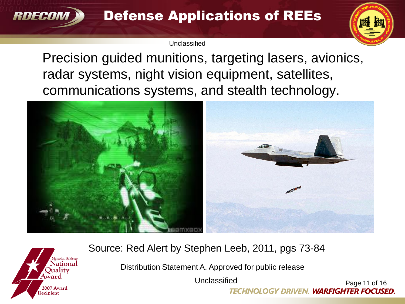

 Precision guided munitions, targeting lasers, avionics, radar systems, night vision equipment, satellites, communications systems, and stealth technology.





#### Source: Red Alert by Stephen Leeb, 2011, pgs 73-84

Distribution Statement A. Approved for public release

Unclassified

Page 11 of 16 **TECHNOLOGY DRIVEN. WARFIGHTER FOCUSED.**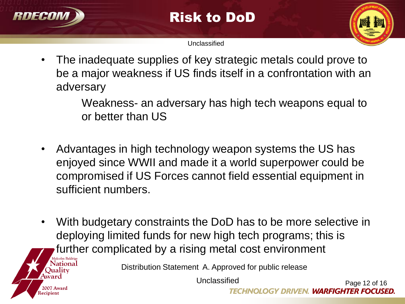

Recipien

Risk to DoD

Unclassified



• The inadequate supplies of key strategic metals could prove to be a major weakness if US finds itself in a confrontation with an adversary

> Weakness- an adversary has high tech weapons equal to or better than US

- Advantages in high technology weapon systems the US has enjoyed since WWII and made it a world superpower could be compromised if US Forces cannot field essential equipment in sufficient numbers.
- With budgetary constraints the DoD has to be more selective in deploying limited funds for new high tech programs; this is further complicated by a rising metal cost environment

Distribution Statement A. Approved for public release

Unclassified Page 12 of 16 **TECHNOLOGY DRIVEN. WARFIGHTER FOCUSED.**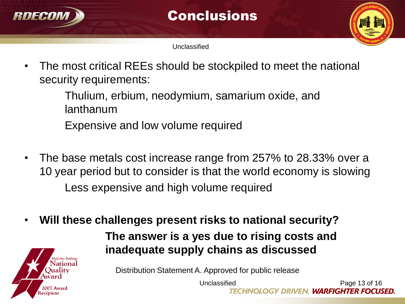

Conclusions

Unclassified

• The most critical REEs should be stockpiled to meet the national security requirements:

> Thulium, erbium, neodymium, samarium oxide, and lanthanum Expensive and low volume required

- The base metals cost increase range from 257% to 28.33% over a 10 year period but to consider is that the world economy is slowing Less expensive and high volume required
- **Will these challenges present risks to national security?**



 **The answer is a yes due to rising costs and inadequate supply chains as discussed**

Distribution Statement A. Approved for public release

Unclassified

Page 13 of 16 **GY DRIVEN. WARFIGHTER FOCUSED.**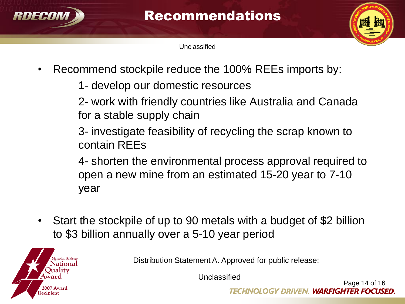



- Recommend stockpile reduce the 100% REEs imports by:
	- 1- develop our domestic resources

2- work with friendly countries like Australia and Canada for a stable supply chain

3- investigate feasibility of recycling the scrap known to contain REEs

4- shorten the environmental process approval required to open a new mine from an estimated 15-20 year to 7-10 year

• Start the stockpile of up to 90 metals with a budget of \$2 billion to \$3 billion annually over a 5-10 year period



Distribution Statement A. Approved for public release;

Unclassified

Page 14 of 16 *'EN. WARFIGHTER FOCUSED.*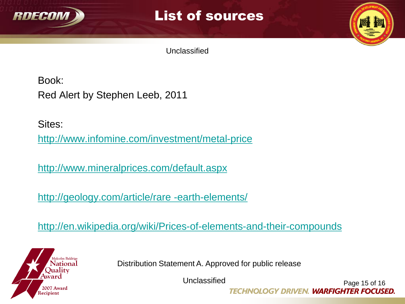

#### List of sources

Unclassified

Book: Red Alert by Stephen Leeb, 2011

Sites:

<http://www.infomine.com/investment/metal-price>

<http://www.mineralprices.com/default.aspx>

<http://geology.com/article/rare -earth-elements/>

<http://en.wikipedia.org/wiki/Prices-of-elements-and-their-compounds>



Distribution Statement A. Approved for public release

Unclassified

Page 15 of 16 **TECHNOLOGY DRIVEN. WARFIGHTER FOCUSED.**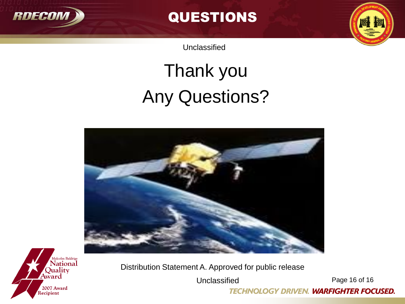

QUESTIONS

Unclassified

# Thank you Any Questions?





Distribution Statement A. Approved for public release

Unclassified

Page 16 of 16

**TECHNOLOGY DRIVEN. WARFIGHTER FOCUSED.**